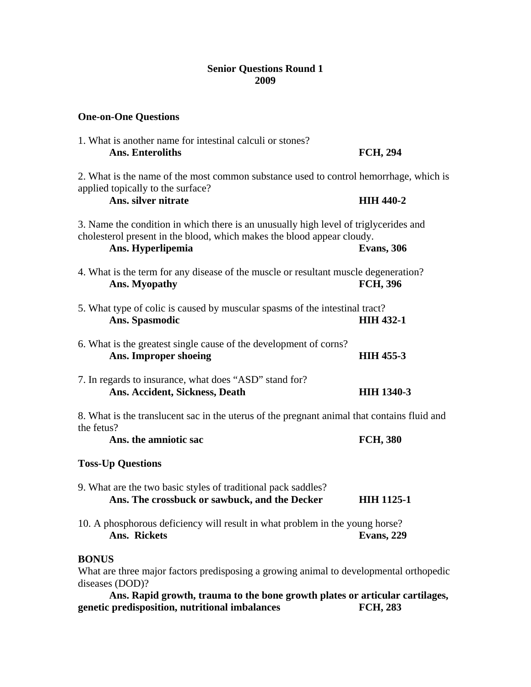## **Senior Questions Round 1 2009**

## **One-on-One Questions**

| 1. What is another name for intestinal calculi or stones? |                 |
|-----------------------------------------------------------|-----------------|
| Ans. Enteroliths                                          | <b>FCH, 294</b> |

2. What is the name of the most common substance used to control hemorrhage, which is applied topically to the surface?

## Ans. silver nitrate **HIH 440-2**

3. Name the condition in which there is an unusually high level of triglycerides and cholesterol present in the blood, which makes the blood appear cloudy.

|  |  | Ans. Hyperlipemia |  |
|--|--|-------------------|--|
|--|--|-------------------|--|

**Evans, 306** 

- 4. What is the term for any disease of the muscle or resultant muscle degeneration?  **Ans. Myopathy FCH, 396**
- 5. What type of colic is caused by muscular spasms of the intestinal tract? **Ans. Spasmodic HIH 432-1**

| 6. What is the greatest single cause of the development of corns? |                  |
|-------------------------------------------------------------------|------------------|
| Ans. Improper shoeing                                             | <b>HIH 455-3</b> |
|                                                                   |                  |

7. In regards to insurance, what does "ASD" stand for? Ans. Accident, Sickness, Death **HIH 1340-3** 

8. What is the translucent sac in the uterus of the pregnant animal that contains fluid and the fetus?

| Ans. the amniotic sac | <b>FCH, 380</b> |
|-----------------------|-----------------|
|-----------------------|-----------------|

## **Toss-Up Questions**

| 9. What are the two basic styles of traditional pack saddles? |                   |
|---------------------------------------------------------------|-------------------|
| Ans. The crossbuck or sawbuck, and the Decker                 | <b>HIH 1125-1</b> |

10. A phosphorous deficiency will result in what problem in the young horse? **Ans. Rickets Evans, 229** 

# **BONUS**

What are three major factors predisposing a growing animal to developmental orthopedic diseases (DOD)?

**Ans. Rapid growth, trauma to the bone growth plates or articular cartilages, genetic predisposition, nutritional imbalances FCH, 283**